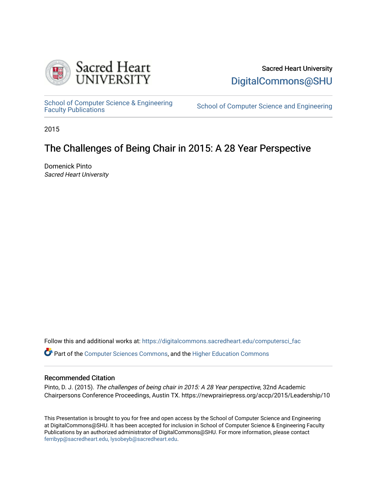

Sacred Heart University [DigitalCommons@SHU](https://digitalcommons.sacredheart.edu/) 

School of Computer Science & Engineering<br>Faculty Publications

School of Computer Science and Engineering

2015

# The Challenges of Being Chair in 2015: A 28 Year Perspective

Domenick Pinto Sacred Heart University

Follow this and additional works at: [https://digitalcommons.sacredheart.edu/computersci\\_fac](https://digitalcommons.sacredheart.edu/computersci_fac?utm_source=digitalcommons.sacredheart.edu%2Fcomputersci_fac%2F148&utm_medium=PDF&utm_campaign=PDFCoverPages) 

Part of the [Computer Sciences Commons](http://network.bepress.com/hgg/discipline/142?utm_source=digitalcommons.sacredheart.edu%2Fcomputersci_fac%2F148&utm_medium=PDF&utm_campaign=PDFCoverPages), and the [Higher Education Commons](http://network.bepress.com/hgg/discipline/1245?utm_source=digitalcommons.sacredheart.edu%2Fcomputersci_fac%2F148&utm_medium=PDF&utm_campaign=PDFCoverPages)

#### Recommended Citation

Pinto, D. J. (2015). The challenges of being chair in 2015: A 28 Year perspective, 32nd Academic Chairpersons Conference Proceedings, Austin TX. https://newprairiepress.org/accp/2015/Leadership/10

This Presentation is brought to you for free and open access by the School of Computer Science and Engineering at DigitalCommons@SHU. It has been accepted for inclusion in School of Computer Science & Engineering Faculty Publications by an authorized administrator of DigitalCommons@SHU. For more information, please contact [ferribyp@sacredheart.edu, lysobeyb@sacredheart.edu.](mailto:ferribyp@sacredheart.edu,%20lysobeyb@sacredheart.edu)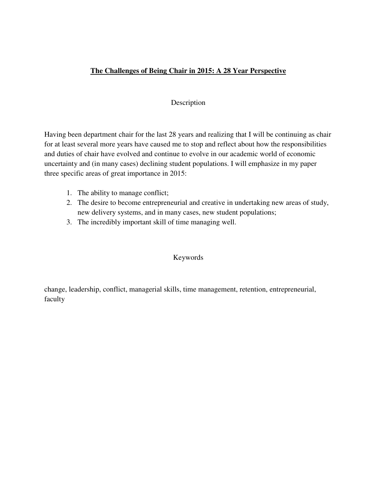# **The Challenges of Being Chair in 2015: A 28 Year Perspective**

## Description

Having been department chair for the last 28 years and realizing that I will be continuing as chair for at least several more years have caused me to stop and reflect about how the responsibilities and duties of chair have evolved and continue to evolve in our academic world of economic uncertainty and (in many cases) declining student populations. I will emphasize in my paper three specific areas of great importance in 2015:

- 1. The ability to manage conflict;
- 2. The desire to become entrepreneurial and creative in undertaking new areas of study, new delivery systems, and in many cases, new student populations;
- 3. The incredibly important skill of time managing well.

#### Keywords

change, leadership, conflict, managerial skills, time management, retention, entrepreneurial, faculty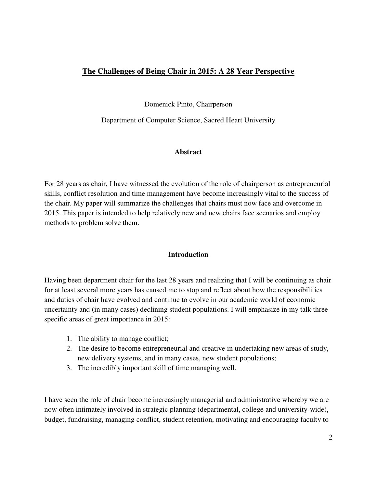# **The Challenges of Being Chair in 2015: A 28 Year Perspective**

Domenick Pinto, Chairperson

Department of Computer Science, Sacred Heart University

# **Abstract**

For 28 years as chair, I have witnessed the evolution of the role of chairperson as entrepreneurial skills, conflict resolution and time management have become increasingly vital to the success of the chair. My paper will summarize the challenges that chairs must now face and overcome in 2015. This paper is intended to help relatively new and new chairs face scenarios and employ methods to problem solve them.

# **Introduction**

Having been department chair for the last 28 years and realizing that I will be continuing as chair for at least several more years has caused me to stop and reflect about how the responsibilities and duties of chair have evolved and continue to evolve in our academic world of economic uncertainty and (in many cases) declining student populations. I will emphasize in my talk three specific areas of great importance in 2015:

- 1. The ability to manage conflict;
- 2. The desire to become entrepreneurial and creative in undertaking new areas of study, new delivery systems, and in many cases, new student populations;
- 3. The incredibly important skill of time managing well.

I have seen the role of chair become increasingly managerial and administrative whereby we are now often intimately involved in strategic planning (departmental, college and university-wide), budget, fundraising, managing conflict, student retention, motivating and encouraging faculty to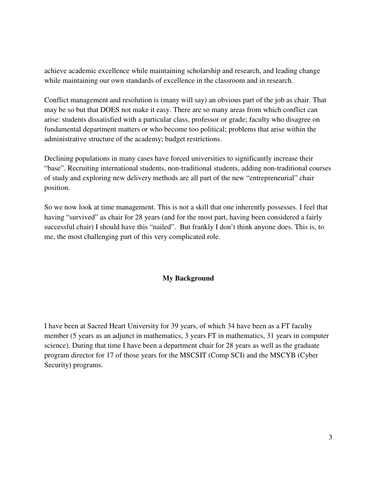achieve academic excellence while maintaining scholarship and research, and leading change while maintaining our own standards of excellence in the classroom and in research.

Conflict management and resolution is (many will say) an obvious part of the job as chair. That may be so but that DOES not make it easy. There are so many areas from which conflict can arise: students dissatisfied with a particular class, professor or grade; faculty who disagree on fundamental department matters or who become too political; problems that arise within the administrative structure of the academy; budget restrictions.

Declining populations in many cases have forced universities to significantly increase their "base". Recruiting international students, non-traditional students, adding non-traditional courses of study and exploring new delivery methods are all part of the new "entrepreneurial" chair position.

So we now look at time management. This is not a skill that one inherently possesses. I feel that having "survived" as chair for 28 years (and for the most part, having been considered a fairly successful chair) I should have this "nailed". But frankly I don't think anyone does. This is, to me, the most challenging part of this very complicated role.

#### **My Background**

I have been at Sacred Heart University for 39 years, of which 34 have been as a FT faculty member (5 years as an adjunct in mathematics, 3 years FT in mathematics, 31 years in computer science). During that time I have been a department chair for 28 years as well as the graduate program director for 17 of those years for the MSCSIT (Comp SCI) and the MSCYB (Cyber Security) programs.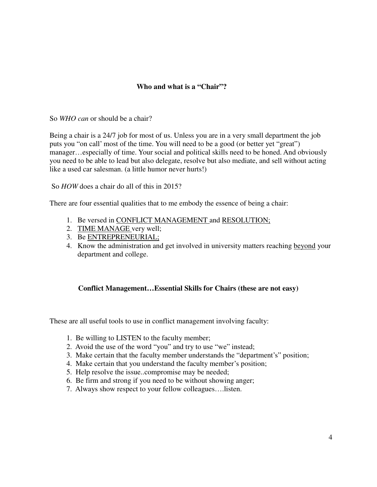# **Who and what is a "Chair"?**

So *WHO can* or should be a chair?

Being a chair is a 24/7 job for most of us. Unless you are in a very small department the job puts you "on call' most of the time. You will need to be a good (or better yet "great") manager…especially of time. Your social and political skills need to be honed. And obviously you need to be able to lead but also delegate, resolve but also mediate, and sell without acting like a used car salesman. (a little humor never hurts!)

So *HOW* does a chair do all of this in 2015?

There are four essential qualities that to me embody the essence of being a chair:

- 1. Be versed in CONFLICT MANAGEMENT and RESOLUTION;
- 2. TIME MANAGE very well;
- 3. Be ENTREPRENEURIAL;
- 4. Know the administration and get involved in university matters reaching beyond your department and college.

#### **Conflict Management…Essential Skills for Chairs (these are not easy)**

These are all useful tools to use in conflict management involving faculty:

- 1. Be willing to LISTEN to the faculty member;
- 2. Avoid the use of the word "you" and try to use "we" instead;
- 3. Make certain that the faculty member understands the "department's" position;
- 4. Make certain that you understand the faculty member's position;
- 5. Help resolve the issue..compromise may be needed;
- 6. Be firm and strong if you need to be without showing anger;
- 7. Always show respect to your fellow colleagues….listen.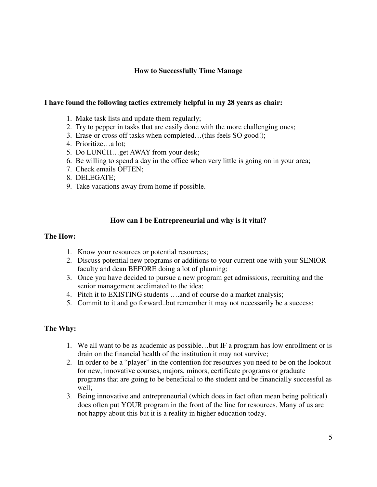# **How to Successfully Time Manage**

#### **I have found the following tactics extremely helpful in my 28 years as chair:**

- 1. Make task lists and update them regularly;
- 2. Try to pepper in tasks that are easily done with the more challenging ones;
- 3. Erase or cross off tasks when completed…(this feels SO good!);
- 4. Prioritize…a lot;
- 5. Do LUNCH…get AWAY from your desk;
- 6. Be willing to spend a day in the office when very little is going on in your area;
- 7. Check emails OFTEN;
- 8. DELEGATE;
- 9. Take vacations away from home if possible.

# **How can I be Entrepreneurial and why is it vital?**

#### **The How:**

- 1. Know your resources or potential resources;
- 2. Discuss potential new programs or additions to your current one with your SENIOR faculty and dean BEFORE doing a lot of planning;
- 3. Once you have decided to pursue a new program get admissions, recruiting and the senior management acclimated to the idea;
- 4. Pitch it to EXISTING students ….and of course do a market analysis;
- 5. Commit to it and go forward..but remember it may not necessarily be a success;

#### **The Why:**

- 1. We all want to be as academic as possible…but IF a program has low enrollment or is drain on the financial health of the institution it may not survive;
- 2. In order to be a "player" in the contention for resources you need to be on the lookout for new, innovative courses, majors, minors, certificate programs or graduate programs that are going to be beneficial to the student and be financially successful as well;
- 3. Being innovative and entrepreneurial (which does in fact often mean being political) does often put YOUR program in the front of the line for resources. Many of us are not happy about this but it is a reality in higher education today.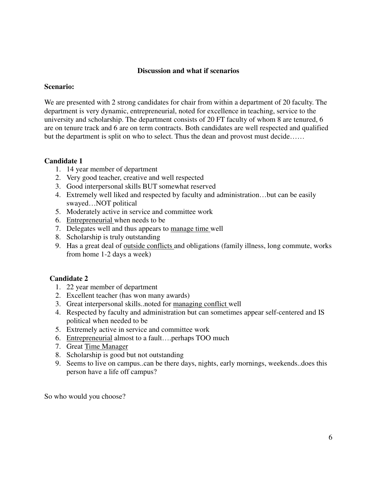## **Discussion and what if scenarios**

#### **Scenario:**

We are presented with 2 strong candidates for chair from within a department of 20 faculty. The department is very dynamic, entrepreneurial, noted for excellence in teaching, service to the university and scholarship. The department consists of 20 FT faculty of whom 8 are tenured, 6 are on tenure track and 6 are on term contracts. Both candidates are well respected and qualified but the department is split on who to select. Thus the dean and provost must decide……

#### **Candidate 1**

- 1. 14 year member of department
- 2. Very good teacher, creative and well respected
- 3. Good interpersonal skills BUT somewhat reserved
- 4. Extremely well liked and respected by faculty and administration…but can be easily swayed…NOT political
- 5. Moderately active in service and committee work
- 6. Entrepreneurial when needs to be
- 7. Delegates well and thus appears to manage time well
- 8. Scholarship is truly outstanding
- 9. Has a great deal of <u>outside conflicts</u> and obligations (family illness, long commute, works from home 1-2 days a week)

#### **Candidate 2**

- 1. 22 year member of department
- 2. Excellent teacher (has won many awards)
- 3. Great interpersonal skills..noted for managing conflict well
- 4. Respected by faculty and administration but can sometimes appear self-centered and IS political when needed to be
- 5. Extremely active in service and committee work
- 6. Entrepreneurial almost to a fault….perhaps TOO much
- 7. Great Time Manager
- 8. Scholarship is good but not outstanding
- 9. Seems to live on campus..can be there days, nights, early mornings, weekends..does this person have a life off campus?

So who would you choose?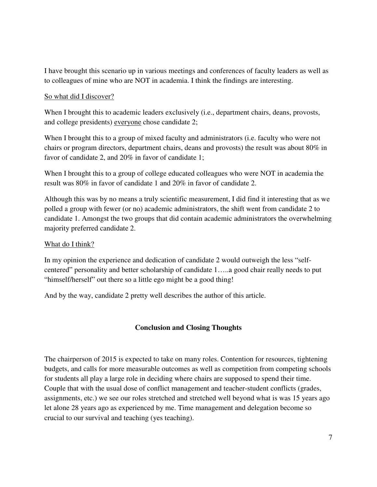I have brought this scenario up in various meetings and conferences of faculty leaders as well as to colleagues of mine who are NOT in academia. I think the findings are interesting.

## So what did I discover?

When I brought this to academic leaders exclusively (i.e., department chairs, deans, provosts, and college presidents) everyone chose candidate 2;

When I brought this to a group of mixed faculty and administrators (i.e. faculty who were not chairs or program directors, department chairs, deans and provosts) the result was about 80% in favor of candidate 2, and 20% in favor of candidate 1;

When I brought this to a group of college educated colleagues who were NOT in academia the result was 80% in favor of candidate 1 and 20% in favor of candidate 2.

Although this was by no means a truly scientific measurement, I did find it interesting that as we polled a group with fewer (or no) academic administrators, the shift went from candidate 2 to candidate 1. Amongst the two groups that did contain academic administrators the overwhelming majority preferred candidate 2.

#### What do I think?

In my opinion the experience and dedication of candidate 2 would outweigh the less "selfcentered" personality and better scholarship of candidate 1…..a good chair really needs to put "himself/herself" out there so a little ego might be a good thing!

And by the way, candidate 2 pretty well describes the author of this article.

# **Conclusion and Closing Thoughts**

The chairperson of 2015 is expected to take on many roles. Contention for resources, tightening budgets, and calls for more measurable outcomes as well as competition from competing schools for students all play a large role in deciding where chairs are supposed to spend their time. Couple that with the usual dose of conflict management and teacher-student conflicts (grades, assignments, etc.) we see our roles stretched and stretched well beyond what is was 15 years ago let alone 28 years ago as experienced by me. Time management and delegation become so crucial to our survival and teaching (yes teaching).